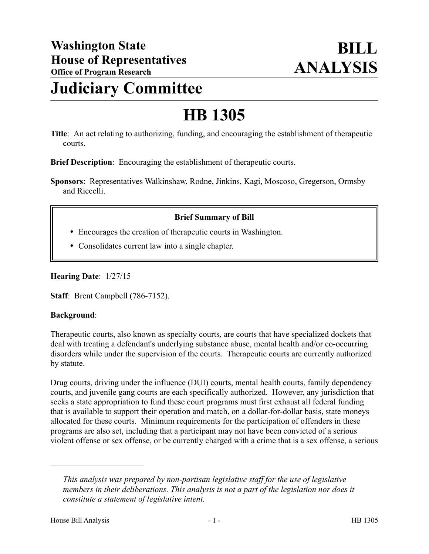# **Judiciary Committee**

# **HB 1305**

**Title**: An act relating to authorizing, funding, and encouraging the establishment of therapeutic courts.

**Brief Description**: Encouraging the establishment of therapeutic courts.

**Sponsors**: Representatives Walkinshaw, Rodne, Jinkins, Kagi, Moscoso, Gregerson, Ormsby and Riccelli.

### **Brief Summary of Bill**

- Encourages the creation of therapeutic courts in Washington.
- Consolidates current law into a single chapter.

**Hearing Date**: 1/27/15

**Staff**: Brent Campbell (786-7152).

#### **Background**:

Therapeutic courts, also known as specialty courts, are courts that have specialized dockets that deal with treating a defendant's underlying substance abuse, mental health and/or co-occurring disorders while under the supervision of the courts. Therapeutic courts are currently authorized by statute.

Drug courts, driving under the influence (DUI) courts, mental health courts, family dependency courts, and juvenile gang courts are each specifically authorized. However, any jurisdiction that seeks a state appropriation to fund these court programs must first exhaust all federal funding that is available to support their operation and match, on a dollar-for-dollar basis, state moneys allocated for these courts. Minimum requirements for the participation of offenders in these programs are also set, including that a participant may not have been convicted of a serious violent offense or sex offense, or be currently charged with a crime that is a sex offense, a serious

––––––––––––––––––––––

*This analysis was prepared by non-partisan legislative staff for the use of legislative members in their deliberations. This analysis is not a part of the legislation nor does it constitute a statement of legislative intent.*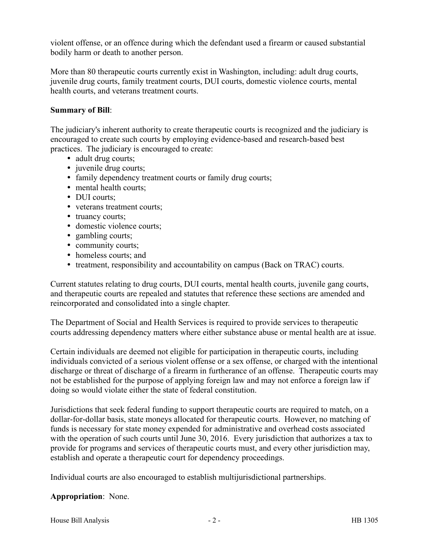violent offense, or an offence during which the defendant used a firearm or caused substantial bodily harm or death to another person.

More than 80 therapeutic courts currently exist in Washington, including: adult drug courts, juvenile drug courts, family treatment courts, DUI courts, domestic violence courts, mental health courts, and veterans treatment courts.

### **Summary of Bill**:

The judiciary's inherent authority to create therapeutic courts is recognized and the judiciary is encouraged to create such courts by employing evidence-based and research-based best practices. The judiciary is encouraged to create:

- adult drug courts;
- juvenile drug courts;
- family dependency treatment courts or family drug courts;
- mental health courts;
- DUI courts;
- veterans treatment courts;
- truancy courts;
- domestic violence courts;
- gambling courts;
- community courts;
- homeless courts; and
- treatment, responsibility and accountability on campus (Back on TRAC) courts.

Current statutes relating to drug courts, DUI courts, mental health courts, juvenile gang courts, and therapeutic courts are repealed and statutes that reference these sections are amended and reincorporated and consolidated into a single chapter.

The Department of Social and Health Services is required to provide services to therapeutic courts addressing dependency matters where either substance abuse or mental health are at issue.

Certain individuals are deemed not eligible for participation in therapeutic courts, including individuals convicted of a serious violent offense or a sex offense, or charged with the intentional discharge or threat of discharge of a firearm in furtherance of an offense. Therapeutic courts may not be established for the purpose of applying foreign law and may not enforce a foreign law if doing so would violate either the state of federal constitution.

Jurisdictions that seek federal funding to support therapeutic courts are required to match, on a dollar-for-dollar basis, state moneys allocated for therapeutic courts. However, no matching of funds is necessary for state money expended for administrative and overhead costs associated with the operation of such courts until June 30, 2016. Every jurisdiction that authorizes a tax to provide for programs and services of therapeutic courts must, and every other jurisdiction may, establish and operate a therapeutic court for dependency proceedings.

Individual courts are also encouraged to establish multijurisdictional partnerships.

#### **Appropriation**: None.

House Bill Analysis **and Exercise 2** - 2 - **HB** 1305